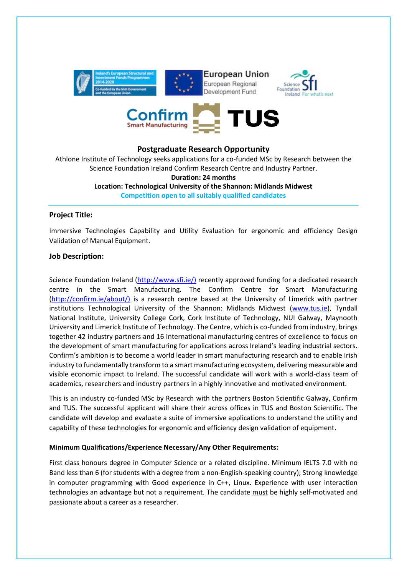



# **Postgraduate Research Opportunity**

Athlone Institute of Technology seeks applications for a co-funded MSc by Research between the Science Foundation Ireland Confirm Research Centre and Industry Partner.

#### **Duration: 24 months**

**Location: Technological University of the Shannon: Midlands Midwest Competition open to all suitably qualified candidates**

# **Project Title:**

Immersive Technologies Capability and Utility Evaluation for ergonomic and efficiency Design Validation of Manual Equipment.

# **Job Description:**

Science Foundation Ireland [\(http://www.sfi.ie/\)](http://www.sfi.ie/)) recently approved funding for a dedicated research centre in the Smart Manufacturing. The Confirm Centre for Smart Manufacturing [\(http://confirm.ie/about/\)](http://confirm.ie/about/)) is a research centre based at the University of Limerick with partner institutions Technological University of the Shannon: Midlands Midwest [\(www.tus.ie\)](http://www.tus.ie/), Tyndall National Institute, University College Cork, Cork Institute of Technology, NUI Galway, Maynooth University and Limerick Institute of Technology. The Centre, which is co-funded from industry, brings together 42 industry partners and 16 international manufacturing centres of excellence to focus on the development of smart manufacturing for applications across Ireland's leading industrial sectors. Confirm's ambition is to become a world leader in smart manufacturing research and to enable Irish industry to fundamentally transform to a smart manufacturing ecosystem, delivering measurable and visible economic impact to Ireland. The successful candidate will work with a world-class team of academics, researchers and industry partners in a highly innovative and motivated environment.

This is an industry co-funded MSc by Research with the partners Boston Scientific Galway, Confirm and TUS. The successful applicant will share their across offices in TUS and Boston Scientific. The candidate will develop and evaluate a suite of immersive applications to understand the utility and capability of these technologies for ergonomic and efficiency design validation of equipment.

### **Minimum Qualifications/Experience Necessary/Any Other Requirements:**

First class honours degree in Computer Science or a related discipline. Minimum IELTS 7.0 with no Band less than 6 (for students with a degree from a non-English-speaking country); Strong knowledge in computer programming with Good experience in C++, Linux. Experience with user interaction technologies an advantage but not a requirement. The candidate must be highly self-motivated and passionate about a career as a researcher.